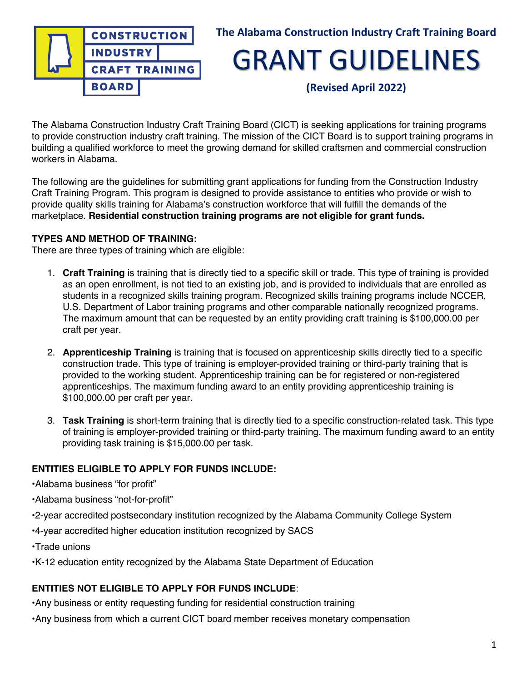

## **The Alabama Construction Industry Craft Training Board**

## GRANT GUIDELINES

**(Revised April 2022)**

The Alabama Construction Industry Craft Training Board (CICT) is seeking applications for training programs to provide construction industry craft training. The mission of the CICT Board is to support training programs in building a qualified workforce to meet the growing demand for skilled craftsmen and commercial construction workers in Alabama.

The following are the guidelines for submitting grant applications for funding from the Construction Industry Craft Training Program. This program is designed to provide assistance to entities who provide or wish to provide quality skills training for Alabama's construction workforce that will fulfill the demands of the marketplace. **Residential construction training programs are not eligible for grant funds.**

#### **TYPES AND METHOD OF TRAINING:**

There are three types of training which are eligible:

- 1. **Craft Training** is training that is directly tied to a specific skill or trade. This type of training is provided as an open enrollment, is not tied to an existing job, and is provided to individuals that are enrolled as students in a recognized skills training program. Recognized skills training programs include NCCER, U.S. Department of Labor training programs and other comparable nationally recognized programs. The maximum amount that can be requested by an entity providing craft training is \$100,000.00 per craft per year.
- 2. **Apprenticeship Training** is training that is focused on apprenticeship skills directly tied to a specific construction trade. This type of training is employer-provided training or third-party training that is provided to the working student. Apprenticeship training can be for registered or non-registered apprenticeships. The maximum funding award to an entity providing apprenticeship training is \$100,000.00 per craft per year.
- 3. **Task Training** is short-term training that is directly tied to a specific construction-related task. This type of training is employer-provided training or third-party training. The maximum funding award to an entity providing task training is \$15,000.00 per task.

### **ENTITIES ELIGIBLE TO APPLY FOR FUNDS INCLUDE:**

•Alabama business "for profit"

•Alabama business "not-for-profit"

- •2-year accredited postsecondary institution recognized by the Alabama Community College System
- •4-year accredited higher education institution recognized by SACS
- •Trade unions
- •K-12 education entity recognized by the Alabama State Department of Education

#### **ENTITIES NOT ELIGIBLE TO APPLY FOR FUNDS INCLUDE**:

•Any business or entity requesting funding for residential construction training

•Any business from which a current CICT board member receives monetary compensation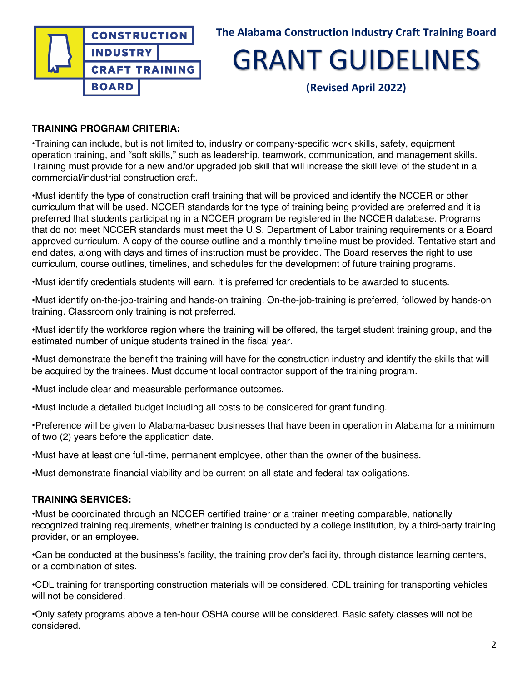

**(Revised April 2022)**

## **TRAINING PROGRAM CRITERIA:**

**•**Training can include, but is not limited to, industry or company-specific work skills, safety, equipment operation training, and "soft skills," such as leadership, teamwork, communication, and management skills. Training must provide for a new and/or upgraded job skill that will increase the skill level of the student in a commercial/industrial construction craft.

•Must identify the type of construction craft training that will be provided and identify the NCCER or other curriculum that will be used. NCCER standards for the type of training being provided are preferred and it is preferred that students participating in a NCCER program be registered in the NCCER database. Programs that do not meet NCCER standards must meet the U.S. Department of Labor training requirements or a Board approved curriculum. A copy of the course outline and a monthly timeline must be provided. Tentative start and end dates, along with days and times of instruction must be provided. The Board reserves the right to use curriculum, course outlines, timelines, and schedules for the development of future training programs.

•Must identify credentials students will earn. It is preferred for credentials to be awarded to students.

•Must identify on-the-job-training and hands-on training. On-the-job-training is preferred, followed by hands-on training. Classroom only training is not preferred.

•Must identify the workforce region where the training will be offered, the target student training group, and the estimated number of unique students trained in the fiscal year.

•Must demonstrate the benefit the training will have for the construction industry and identify the skills that will be acquired by the trainees. Must document local contractor support of the training program.

•Must include clear and measurable performance outcomes.

•Must include a detailed budget including all costs to be considered for grant funding.

•Preference will be given to Alabama-based businesses that have been in operation in Alabama for a minimum of two (2) years before the application date.

•Must have at least one full-time, permanent employee, other than the owner of the business.

•Must demonstrate financial viability and be current on all state and federal tax obligations.

### **TRAINING SERVICES:**

•Must be coordinated through an NCCER certified trainer or a trainer meeting comparable, nationally recognized training requirements, whether training is conducted by a college institution, by a third-party training provider, or an employee.

•Can be conducted at the business's facility, the training provider's facility, through distance learning centers, or a combination of sites.

•CDL training for transporting construction materials will be considered. CDL training for transporting vehicles will not be considered.

•Only safety programs above a ten-hour OSHA course will be considered. Basic safety classes will not be considered.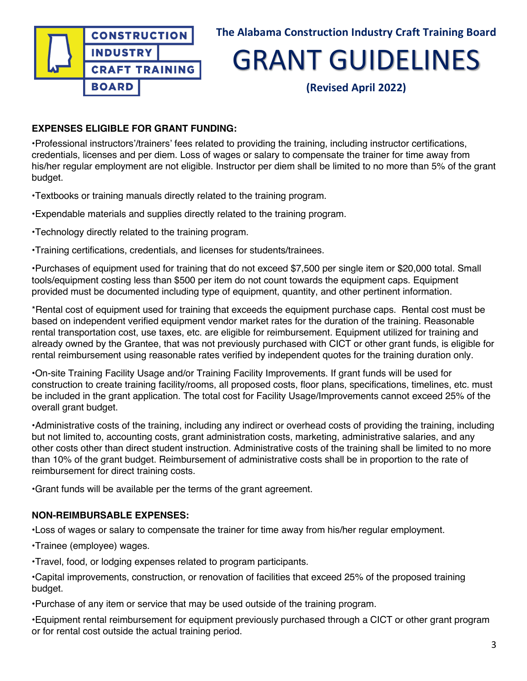

**(Revised April 2022)**

## **EXPENSES ELIGIBLE FOR GRANT FUNDING:**

**•**Professional instructors'/trainers' fees related to providing the training, including instructor certifications, credentials, licenses and per diem. Loss of wages or salary to compensate the trainer for time away from his/her regular employment are not eligible. Instructor per diem shall be limited to no more than 5% of the grant budget.

•Textbooks or training manuals directly related to the training program.

•Expendable materials and supplies directly related to the training program.

•Technology directly related to the training program.

•Training certifications, credentials, and licenses for students/trainees.

•Purchases of equipment used for training that do not exceed \$7,500 per single item or \$20,000 total. Small tools/equipment costing less than \$500 per item do not count towards the equipment caps. Equipment provided must be documented including type of equipment, quantity, and other pertinent information.

\*Rental cost of equipment used for training that exceeds the equipment purchase caps. Rental cost must be based on independent verified equipment vendor market rates for the duration of the training. Reasonable rental transportation cost, use taxes, etc. are eligible for reimbursement. Equipment utilized for training and already owned by the Grantee, that was not previously purchased with CICT or other grant funds, is eligible for rental reimbursement using reasonable rates verified by independent quotes for the training duration only.

•On-site Training Facility Usage and/or Training Facility Improvements. If grant funds will be used for construction to create training facility/rooms, all proposed costs, floor plans, specifications, timelines, etc. must be included in the grant application. The total cost for Facility Usage/Improvements cannot exceed 25% of the overall grant budget.

•Administrative costs of the training, including any indirect or overhead costs of providing the training, including but not limited to, accounting costs, grant administration costs, marketing, administrative salaries, and any other costs other than direct student instruction. Administrative costs of the training shall be limited to no more than 10% of the grant budget. Reimbursement of administrative costs shall be in proportion to the rate of reimbursement for direct training costs.

•Grant funds will be available per the terms of the grant agreement.

## **NON-REIMBURSABLE EXPENSES:**

**•**Loss of wages or salary to compensate the trainer for time away from his/her regular employment.

•Trainee (employee) wages.

•Travel, food, or lodging expenses related to program participants.

•Capital improvements, construction, or renovation of facilities that exceed 25% of the proposed training budget.

•Purchase of any item or service that may be used outside of the training program.

•Equipment rental reimbursement for equipment previously purchased through a CICT or other grant program or for rental cost outside the actual training period.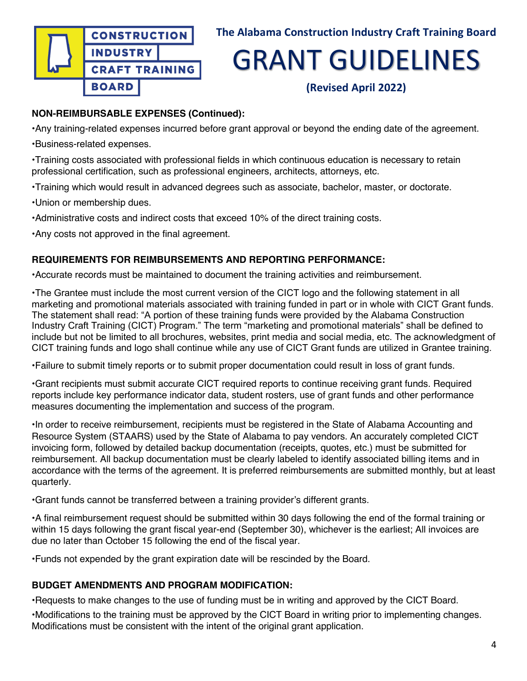

**(Revised April 2022)**

## **NON-REIMBURSABLE EXPENSES (Continued):**

•Any training-related expenses incurred before grant approval or beyond the ending date of the agreement.

•Business-related expenses.

•Training costs associated with professional fields in which continuous education is necessary to retain professional certification, such as professional engineers, architects, attorneys, etc.

•Training which would result in advanced degrees such as associate, bachelor, master, or doctorate.

•Union or membership dues.

•Administrative costs and indirect costs that exceed 10% of the direct training costs.

•Any costs not approved in the final agreement.

## **REQUIREMENTS FOR REIMBURSEMENTS AND REPORTING PERFORMANCE:**

•Accurate records must be maintained to document the training activities and reimbursement.

•The Grantee must include the most current version of the CICT logo and the following statement in all marketing and promotional materials associated with training funded in part or in whole with CICT Grant funds. The statement shall read: "A portion of these training funds were provided by the Alabama Construction Industry Craft Training (CICT) Program." The term "marketing and promotional materials" shall be defined to include but not be limited to all brochures, websites, print media and social media, etc. The acknowledgment of CICT training funds and logo shall continue while any use of CICT Grant funds are utilized in Grantee training.

•Failure to submit timely reports or to submit proper documentation could result in loss of grant funds.

•Grant recipients must submit accurate CICT required reports to continue receiving grant funds. Required reports include key performance indicator data, student rosters, use of grant funds and other performance measures documenting the implementation and success of the program.

•In order to receive reimbursement, recipients must be registered in the State of Alabama Accounting and Resource System (STAARS) used by the State of Alabama to pay vendors. An accurately completed CICT invoicing form, followed by detailed backup documentation (receipts, quotes, etc.) must be submitted for reimbursement. All backup documentation must be clearly labeled to identify associated billing items and in accordance with the terms of the agreement. It is preferred reimbursements are submitted monthly, but at least quarterly.

•Grant funds cannot be transferred between a training provider's different grants.

•A final reimbursement request should be submitted within 30 days following the end of the formal training or within 15 days following the grant fiscal year-end (September 30), whichever is the earliest; All invoices are due no later than October 15 following the end of the fiscal year.

•Funds not expended by the grant expiration date will be rescinded by the Board.

## **BUDGET AMENDMENTS AND PROGRAM MODIFICATION:**

•Requests to make changes to the use of funding must be in writing and approved by the CICT Board. •Modifications to the training must be approved by the CICT Board in writing prior to implementing changes. Modifications must be consistent with the intent of the original grant application.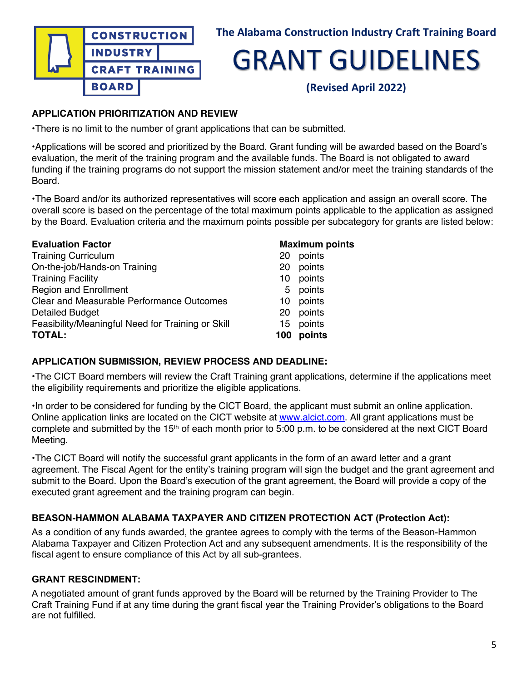

**(Revised April 2022)**

## **APPLICATION PRIORITIZATION AND REVIEW**

•There is no limit to the number of grant applications that can be submitted.

•Applications will be scored and prioritized by the Board. Grant funding will be awarded based on the Board's evaluation, the merit of the training program and the available funds. The Board is not obligated to award funding if the training programs do not support the mission statement and/or meet the training standards of the Board.

•The Board and/or its authorized representatives will score each application and assign an overall score. The overall score is based on the percentage of the total maximum points applicable to the application as assigned by the Board. Evaluation criteria and the maximum points possible per subcategory for grants are listed below:

| <b>Evaluation Factor</b>                          |     | <b>Maximum points</b> |
|---------------------------------------------------|-----|-----------------------|
| <b>Training Curriculum</b>                        | 20  | points                |
| On-the-job/Hands-on Training                      | 20  | points                |
| <b>Training Facility</b>                          | 10  | points                |
| <b>Region and Enrollment</b>                      | 5   | points                |
| <b>Clear and Measurable Performance Outcomes</b>  | 10  | points                |
| <b>Detailed Budget</b>                            | 20  | points                |
| Feasibility/Meaningful Need for Training or Skill |     | 15 points             |
| <b>TOTAL:</b>                                     | 100 | points                |

### **APPLICATION SUBMISSION, REVIEW PROCESS AND DEADLINE:**

•The CICT Board members will review the Craft Training grant applications, determine if the applications meet the eligibility requirements and prioritize the eligible applications.

•In order to be considered for funding by the CICT Board, the applicant must submit an online application. Online application links are located on the CICT website at www.alcict.com. All grant applications must be complete and submitted by the 15th of each month prior to 5:00 p.m. to be considered at the next CICT Board Meeting.

•The CICT Board will notify the successful grant applicants in the form of an award letter and a grant agreement. The Fiscal Agent for the entity's training program will sign the budget and the grant agreement and submit to the Board. Upon the Board's execution of the grant agreement, the Board will provide a copy of the executed grant agreement and the training program can begin.

### **BEASON-HAMMON ALABAMA TAXPAYER AND CITIZEN PROTECTION ACT (Protection Act):**

As a condition of any funds awarded, the grantee agrees to comply with the terms of the Beason-Hammon Alabama Taxpayer and Citizen Protection Act and any subsequent amendments. It is the responsibility of the fiscal agent to ensure compliance of this Act by all sub-grantees.

### **GRANT RESCINDMENT:**

A negotiated amount of grant funds approved by the Board will be returned by the Training Provider to The Craft Training Fund if at any time during the grant fiscal year the Training Provider's obligations to the Board are not fulfilled.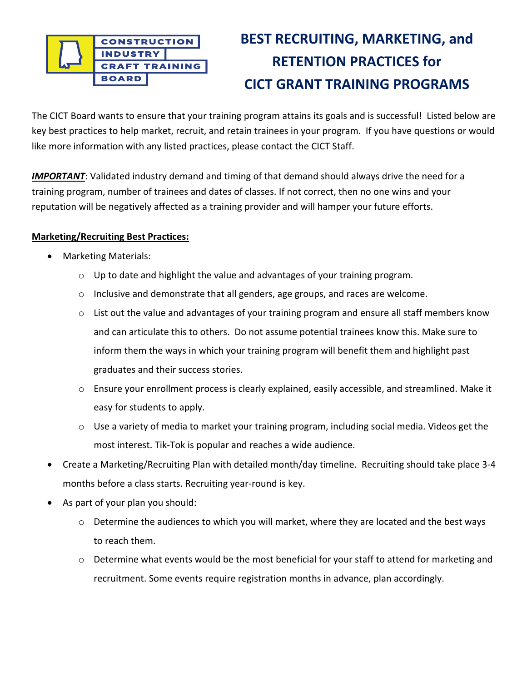

## **BEST RECRUITING, MARKETING, and RETENTION PRACTICES for CICT GRANT TRAINING PROGRAMS**

The CICT Board wants to ensure that your training program attains its goals and is successful! Listed below are key best practices to help market, recruit, and retain trainees in your program. If you have questions or would like more information with any listed practices, please contact the CICT Staff.

*IMPORTANT*: Validated industry demand and timing of that demand should always drive the need for a training program, number of trainees and dates of classes. If not correct, then no one wins and your reputation will be negatively affected as a training provider and will hamper your future efforts.

### **Marketing/Recruiting Best Practices:**

- Marketing Materials:
	- o Up to date and highlight the value and advantages of your training program.
	- o Inclusive and demonstrate that all genders, age groups, and races are welcome.
	- o List out the value and advantages of your training program and ensure all staff members know and can articulate this to others. Do not assume potential trainees know this. Make sure to inform them the ways in which your training program will benefit them and highlight past graduates and their success stories.
	- $\circ$  Ensure your enrollment process is clearly explained, easily accessible, and streamlined. Make it easy for students to apply.
	- $\circ$  Use a variety of media to market your training program, including social media. Videos get the most interest. Tik-Tok is popular and reaches a wide audience.
- Create a Marketing/Recruiting Plan with detailed month/day timeline. Recruiting should take place 3-4 months before a class starts. Recruiting year-round is key.
- As part of your plan you should:
	- $\circ$  Determine the audiences to which you will market, where they are located and the best ways to reach them.
	- $\circ$  Determine what events would be the most beneficial for your staff to attend for marketing and recruitment. Some events require registration months in advance, plan accordingly.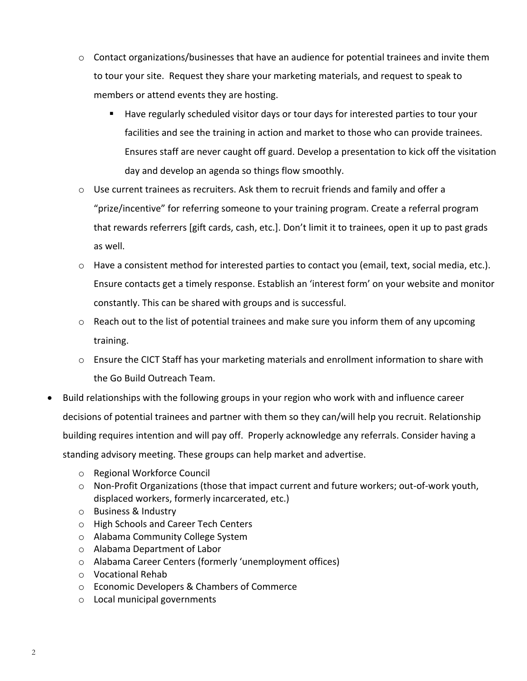- $\circ$  Contact organizations/businesses that have an audience for potential trainees and invite them to tour your site. Request they share your marketing materials, and request to speak to members or attend events they are hosting.
	- Have regularly scheduled visitor days or tour days for interested parties to tour your facilities and see the training in action and market to those who can provide trainees. Ensures staff are never caught off guard. Develop a presentation to kick off the visitation day and develop an agenda so things flow smoothly.
- $\circ$  Use current trainees as recruiters. Ask them to recruit friends and family and offer a "prize/incentive" for referring someone to your training program. Create a referral program that rewards referrers [gift cards, cash, etc.]. Don't limit it to trainees, open it up to past grads as well.
- o Have a consistent method for interested parties to contact you (email, text, social media, etc.). Ensure contacts get a timely response. Establish an 'interest form' on your website and monitor constantly. This can be shared with groups and is successful.
- $\circ$  Reach out to the list of potential trainees and make sure you inform them of any upcoming training.
- $\circ$  Ensure the CICT Staff has your marketing materials and enrollment information to share with the Go Build Outreach Team.
- Build relationships with the following groups in your region who work with and influence career decisions of potential trainees and partner with them so they can/will help you recruit. Relationship building requires intention and will pay off. Properly acknowledge any referrals. Consider having a standing advisory meeting. These groups can help market and advertise.
	- o Regional Workforce Council
	- o Non-Profit Organizations (those that impact current and future workers; out-of-work youth, displaced workers, formerly incarcerated, etc.)
	- o Business & Industry
	- o High Schools and Career Tech Centers
	- o Alabama Community College System
	- o Alabama Department of Labor
	- o Alabama Career Centers (formerly 'unemployment offices)
	- o Vocational Rehab
	- o Economic Developers & Chambers of Commerce
	- o Local municipal governments